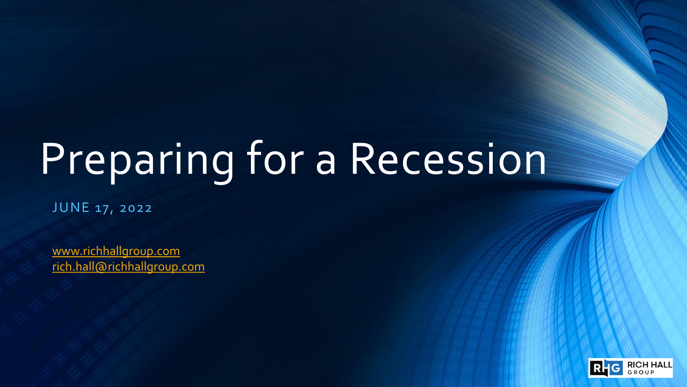# Preparing for a Recession

JUNE 17, 2022

[www.richhallgroup.com](http://www.richhallgroup.com/) [rich.hall@richhallgroup.com](mailto:rich.hall@richhallgroup.com)

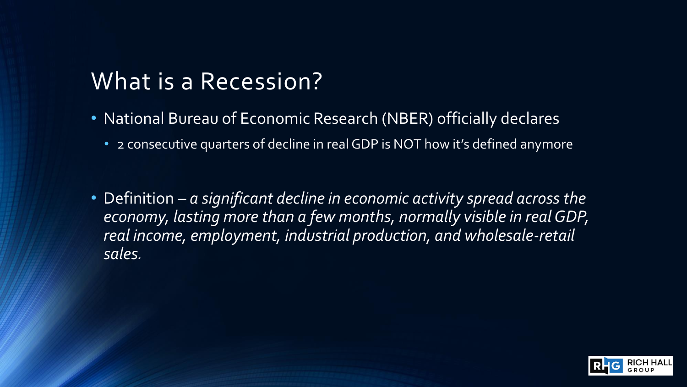#### What is a Recession?

- National Bureau of Economic Research (NBER) officially declares
	- 2 consecutive quarters of decline in real GDP is NOT how it's defined anymore
- Definition *a significant decline in economic activity spread across the economy, lasting more than a few months, normally visible in real GDP, real income, employment, industrial production, and wholesale-retail sales.*

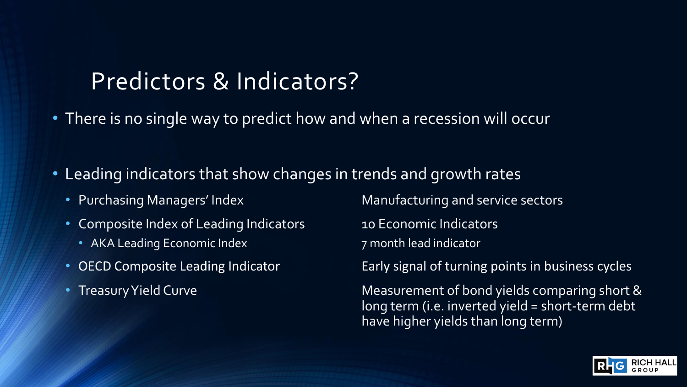#### Predictors & Indicators?

- There is no single way to predict how and when a recession will occur
- Leading indicators that show changes in trends and growth rates
	-
	- Composite Index of Leading Indicators 10 Economic Indicators
		- AKA Leading Economic Index 7 month lead indicator
	-
	-

• Purchasing Managers' Index Manufacturing and service sectors

- 
- 

• OECD Composite Leading Indicator **Early signal of turning points in business cycles** 

• Treasury Yield Curve **Measurement of bond yields comparing short &** long term (i.e. inverted yield = short-term debt have higher yields than long term)

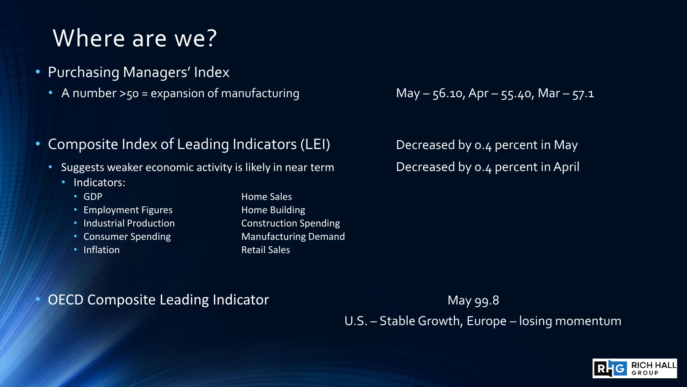#### Where are we?

- Purchasing Managers' Index
	- A number  $>50$  = expansion of manufacturing May  $56.10$ , Apr  $55.40$ , Mar  $57.1$
- Composite Index of Leading Indicators (LEI) Decreased by 0.4 percent in May
	- Suggests weaker economic activity is likely in near term Decreased by 0.4 percent in April
		- Indicators:
			-
			- Employment Figures **Home Building**
			- Industrial Production **Construction** Spending
			-
			-

• GDP **Home Sales** • Consumer Spending Manufacturing Demand • Inflation **Retail Sales Retail Sales** 

**OECD Composite Leading Indicator May 99.8** May 99.8

U.S. – Stable Growth, Europe – losing momentum

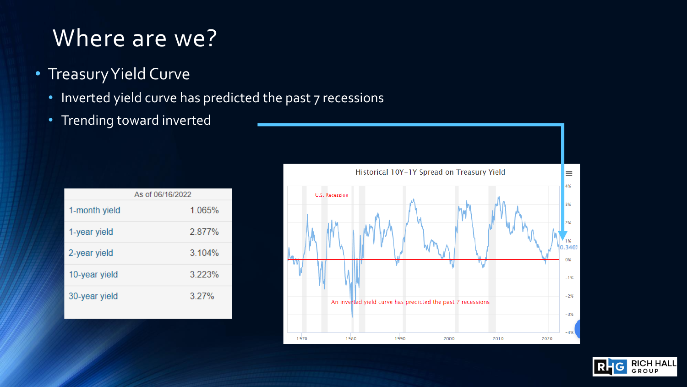#### Where are we?

- Treasury Yield Curve
	- Inverted yield curve has predicted the past 7 recessions
	- Trending toward inverted

|               | As of 06/16/2022 |
|---------------|------------------|
| 1-month yield | 1.065%           |
| 1-year yield  | 2.877%           |
| 2-year yield  | 3.104%           |
| 10-year yield | 3.223%           |
| 30-year yield | 3.27%            |



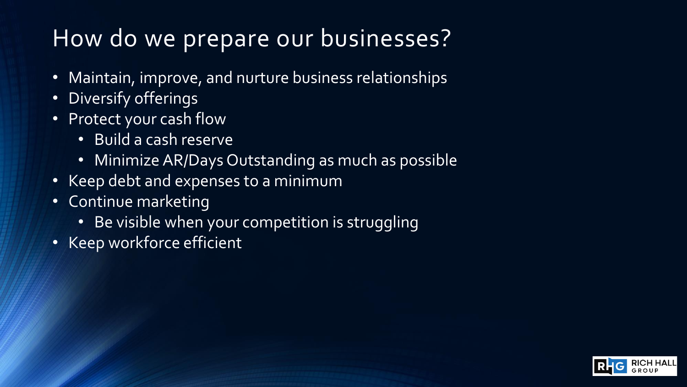### How do we prepare our businesses?

- Maintain, improve, and nurture business relationships
- Diversify offerings
- Protect your cash flow
	- Build a cash reserve
	- Minimize AR/Days Outstanding as much as possible
- Keep debt and expenses to a minimum
- Continue marketing
	- Be visible when your competition is struggling
- Keep workforce efficient